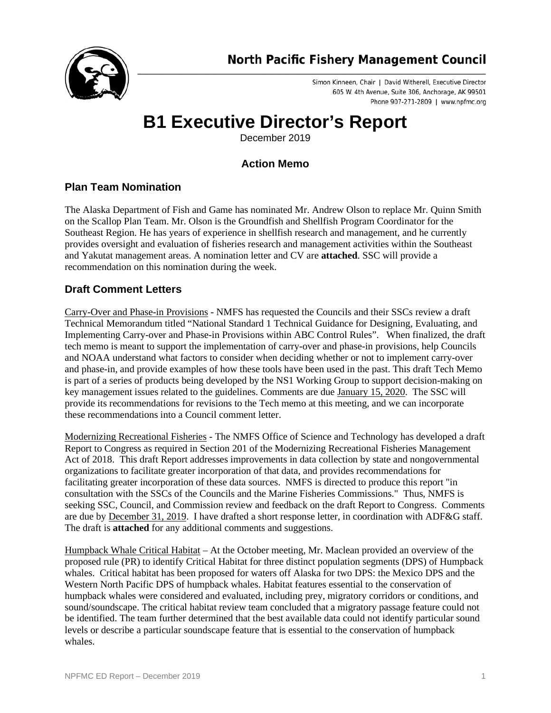

Simon Kinneen, Chair | David Witherell, Executive Director 605 W. 4th Avenue, Suite 306, Anchorage, AK 99501 Phone 907-271-2809 | www.npfmc.org

# **B1 Executive Director's Report**

December 2019

# **Action Memo**

# **Plan Team Nomination**

The Alaska Department of Fish and Game has nominated Mr. Andrew Olson to replace Mr. Quinn Smith on the Scallop Plan Team. Mr. Olson is the Groundfish and Shellfish Program Coordinator for the Southeast Region. He has years of experience in shellfish research and management, and he currently provides oversight and evaluation of fisheries research and management activities within the Southeast and Yakutat management areas. A nomination letter and CV are **attached**. SSC will provide a recommendation on this nomination during the week.

# **Draft Comment Letters**

Carry-Over and Phase-in Provisions - NMFS has requested the Councils and their SSCs review a draft Technical Memorandum titled "National Standard 1 Technical Guidance for Designing, Evaluating, and Implementing Carry-over and Phase-in Provisions within ABC Control Rules". When finalized, the draft tech memo is meant to support the implementation of carry-over and phase-in provisions, help Councils and NOAA understand what factors to consider when deciding whether or not to implement carry-over and phase-in, and provide examples of how these tools have been used in the past. This draft Tech Memo is part of a series of products being developed by the NS1 Working Group to support decision-making on key management issues related to the guidelines. Comments are due January 15, 2020. The SSC will provide its recommendations for revisions to the Tech memo at this meeting, and we can incorporate these recommendations into a Council comment letter.

Modernizing Recreational Fisheries - The NMFS Office of Science and Technology has developed a draft Report to Congress as required in Section 201 of the Modernizing Recreational Fisheries Management Act of 2018. This draft Report addresses improvements in data collection by state and nongovernmental organizations to facilitate greater incorporation of that data, and provides recommendations for facilitating greater incorporation of these data sources. NMFS is directed to produce this report "in consultation with the SSCs of the Councils and the Marine Fisheries Commissions." Thus, NMFS is seeking SSC, Council, and Commission review and feedback on the draft Report to Congress. Comments are due by December 31, 2019. I have drafted a short response letter, in coordination with ADF&G staff. The draft is **attached** for any additional comments and suggestions.

Humpback Whale Critical Habitat – At the October meeting, Mr. Maclean provided an overview of the proposed rule (PR) to identify Critical Habitat for three distinct population segments (DPS) of Humpback whales. Critical habitat has been proposed for waters off Alaska for two DPS: the Mexico DPS and the Western North Pacific DPS of humpback whales. Habitat features essential to the conservation of humpback whales were considered and evaluated, including prey, migratory corridors or conditions, and sound/soundscape. The critical habitat review team concluded that a migratory passage feature could not be identified. The team further determined that the best available data could not identify particular sound levels or describe a particular soundscape feature that is essential to the conservation of humpback whales.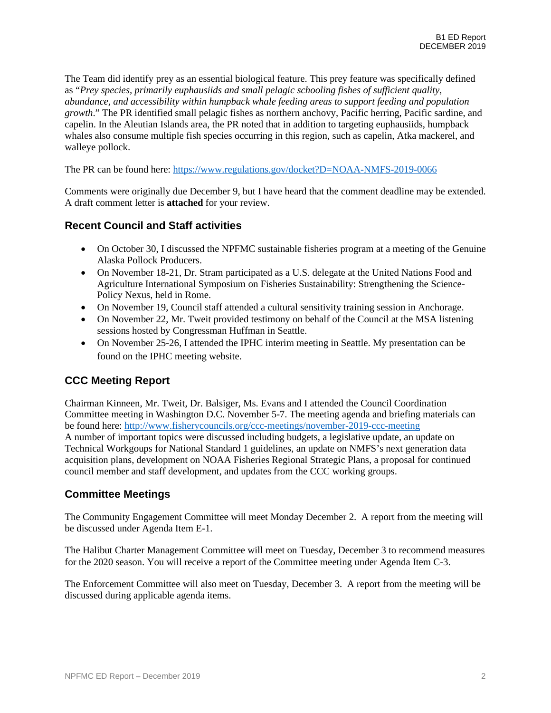The Team did identify prey as an essential biological feature. This prey feature was specifically defined as "*Prey species, primarily euphausiids and small pelagic schooling fishes of sufficient quality, abundance, and accessibility within humpback whale feeding areas to support feeding and population growth*." The PR identified small pelagic fishes as northern anchovy, Pacific herring, Pacific sardine, and capelin. In the Aleutian Islands area, the PR noted that in addition to targeting euphausiids, humpback whales also consume multiple fish species occurring in this region, such as capelin, Atka mackerel, and walleye pollock.

The PR can be found here:<https://www.regulations.gov/docket?D=NOAA-NMFS-2019-0066>

Comments were originally due December 9, but I have heard that the comment deadline may be extended. A draft comment letter is **attached** for your review.

#### **Recent Council and Staff activities**

- On October 30, I discussed the NPFMC sustainable fisheries program at a meeting of the Genuine Alaska Pollock Producers.
- On November 18-21, Dr. Stram participated as a U.S. delegate at the United Nations Food and Agriculture International Symposium on Fisheries Sustainability: Strengthening the Science-Policy Nexus, held in Rome.
- On November 19, Council staff attended a cultural sensitivity training session in Anchorage.
- On November 22, Mr. Tweit provided testimony on behalf of the Council at the MSA listening sessions hosted by Congressman Huffman in Seattle.
- On November 25-26, I attended the IPHC interim meeting in Seattle. My presentation can be found on the IPHC meeting website.

# **CCC Meeting Report**

Chairman Kinneen, Mr. Tweit, Dr. Balsiger, Ms. Evans and I attended the Council Coordination Committee meeting in Washington D.C. November 5-7. The meeting agenda and briefing materials can be found here:<http://www.fisherycouncils.org/ccc-meetings/november-2019-ccc-meeting> A number of important topics were discussed including budgets, a legislative update, an update on Technical Workgoups for National Standard 1 guidelines, an update on NMFS's next generation data acquisition plans, development on NOAA Fisheries Regional Strategic Plans, a proposal for continued council member and staff development, and updates from the CCC working groups.

#### **Committee Meetings**

The Community Engagement Committee will meet Monday December 2. A report from the meeting will be discussed under Agenda Item E-1.

The Halibut Charter Management Committee will meet on Tuesday, December 3 to recommend measures for the 2020 season. You will receive a report of the Committee meeting under Agenda Item C-3.

The Enforcement Committee will also meet on Tuesday, December 3. A report from the meeting will be discussed during applicable agenda items.